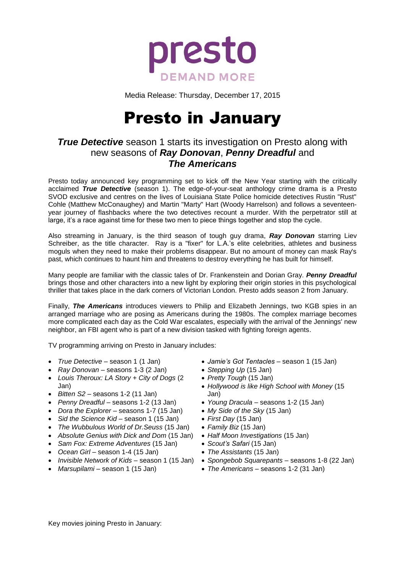

Media Release: Thursday, December 17, 2015

# Presto in January

## *True Detective* season 1 starts its investigation on Presto along with new seasons of *Ray Donovan*, *Penny Dreadful* and *The Americans*

Presto today announced key programming set to kick off the New Year starting with the critically acclaimed *True Detective* (season 1). The edge-of-your-seat anthology crime drama is a Presto SVOD exclusive and centres on the lives of Louisiana State Police homicide detectives Rustin "Rust" Cohle (Matthew McConaughey) and Martin "Marty" Hart (Woody Harrelson) and follows a seventeenyear journey of flashbacks where the two detectives recount a murder. With the perpetrator still at large, it's a race against time for these two men to piece things together and stop the cycle.

Also streaming in January, is the third season of tough guy drama, *Ray Donovan* starring Liev Schreiber, as the title character. Ray is a "fixer" for L.A.'s elite celebrities, athletes and business moguls when they need to make their problems disappear. But no amount of money can mask Ray's past, which continues to haunt him and threatens to destroy everything he has built for himself.

Many people are familiar with the classic tales of Dr. Frankenstein and Dorian Gray. *Penny Dreadful* brings those and other characters into a new light by exploring their origin stories in this psychological thriller that takes place in the dark corners of Victorian London. Presto adds season 2 from January.

Finally, *The Americans* introduces viewers to Philip and Elizabeth Jennings, two KGB spies in an arranged marriage who are posing as Americans during the 1980s. The complex marriage becomes more complicated each day as the Cold War escalates, especially with the arrival of the Jennings' new neighbor, an FBI agent who is part of a new division tasked with fighting foreign agents.

TV programming arriving on Presto in January includes:

- *True Detective –* season 1 (1 Jan)
- *Ray Donovan –* seasons 1-3 (2 Jan)
- *Louis Theroux: LA Story + City of Dogs* (2 Jan)
- *Bitten S2 –* seasons 1-2 (11 Jan)
- *Penny Dreadful –* seasons 1-2 (13 Jan)
- *Dora the Explorer –* seasons 1-7 (15 Jan)
- *Sid the Science Kid –* season 1 (15 Jan)
- *The Wubbulous World of Dr.Seuss* (15 Jan)
- *Absolute Genius with Dick and Dom* (15 Jan)
- *Sam Fox: Extreme Adventures* (15 Jan)
- *Ocean Girl –* season 1-4 (15 Jan)
- 
- *Marsupilami –* season 1 (15 Jan)
- *Jamie's Got Tentacles* season 1 (15 Jan)
- *Stepping Up* (15 Jan)
- *Pretty Tough* (15 Jan)
- *Hollywood is like High School with Money* (15 Jan)
- *Young Dracula* seasons 1-2 (15 Jan)
- *My Side of the Sky* (15 Jan)
- *First Day* (15 Jan)
- *Family Biz* (15 Jan)
- *Half Moon Investigations* (15 Jan)
- *Scout's Safari* (15 Jan)
- *The Assistants* (15 Jan)
- *Invisible Network of Kids –* season 1 (15 Jan) *Spongebob Squarepants* seasons 1-8 (22 Jan)
	- *The Americans*  seasons 1-2 (31 Jan)

Key movies joining Presto in January: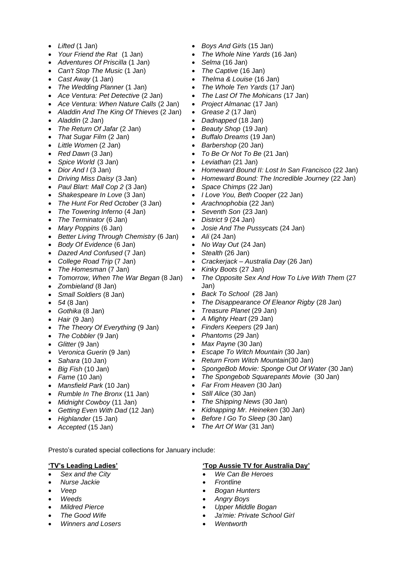- *Lifted* (1 Jan)
- *Your Friend the Rat* (1 Jan)
- *Adventures Of Priscilla* (1 Jan)
- *Can't Stop The Music* (1 Jan)
- *Cast Away* (1 Jan)
- *The Wedding Planner* (1 Jan)
- *Ace Ventura: Pet Detective* (2 Jan)
- *Ace Ventura: When Nature Calls* (2 Jan)
- *Aladdin And The King Of Thieves* (2 Jan)
- *Aladdin* (2 Jan)
- *The Return Of Jafar* (2 Jan)
- *That Sugar Film* (2 Jan)
- *Little Women* (2 Jan)
- *Red Dawn* (3 Jan)
- *Spice World* (3 Jan)
- *Dior And I* (3 Jan)
- *Driving Miss Daisy* (3 Jan)
- *Paul Blart: Mall Cop 2* (3 Jan)
- *Shakespeare In Love* (3 Jan)
- *The Hunt For Red October* (3 Jan)
- *The Towering Inferno* (4 Jan)
- *The Terminator* (6 Jan)
- *Mary Poppins* (6 Jan)
- *Better Living Through Chemistry* (6 Jan)
- *Body Of Evidence* (6 Jan)
- *Dazed And Confused* (7 Jan)
- *College Road Trip* (7 Jan)
- *The Homesman* (7 Jan)
- *Tomorrow, When The War Began* (8 Jan)
- *Zombieland* (8 Jan)
- *Small Soldiers* (8 Jan)
- *54* (8 Jan)
- *Gothika* (8 Jan)
- *Hair* (9 Jan)
- *The Theory Of Everything* (9 Jan)
- *The Cobbler* (9 Jan)
- *Glitter* (9 Jan)
- *Veronica Guerin* (9 Jan)
- *Sahara* (10 Jan)
- *Big Fish* (10 Jan)
- *Fame* (10 Jan)
- *Mansfield Park* (10 Jan)
- *Rumble In The Bronx* (11 Jan)
- *Midnight Cowboy* (11 Jan)
- *Getting Even With Dad* (12 Jan)
- *Highlander* (15 Jan)
- *Accepted* (15 Jan)
- *Boys And Girls* (15 Jan)
- *The Whole Nine Yards* (16 Jan)
- *Selma* (16 Jan)
- *The Captive* (16 Jan)
- *Thelma & Louise* (16 Jan)
- *The Whole Ten Yards* (17 Jan)
- *The Last Of The Mohicans* (17 Jan)
- *Project Almanac* (17 Jan)
- *Grease 2* (17 Jan)
- *Dadnapped* (18 Jan)
- *Beauty Shop* (19 Jan)
- *Buffalo Dreams* (19 Jan)
- *Barbershop* (20 Jan)
- *To Be Or Not To Be* (21 Jan)
- *Leviathan* (21 Jan)
- *Homeward Bound II: Lost In San Francisco* (22 Jan)
- *Homeward Bound: The Incredible Journey* (22 Jan)
- *Space Chimps* (22 Jan)
- *I Love You, Beth Cooper* (22 Jan)
- *Arachnophobia* (22 Jan)
- *Seventh Son* (23 Jan)
- *District 9* (24 Jan)
- *Josie And The Pussycats* (24 Jan)
- Ali (24 Jan)
- *No Way Out* (24 Jan)
- *Stealth* (26 Jan)
- *Crackerjack – Australia Day* (26 Jan)
	- *Kinky Boots* (27 Jan)
- *The Opposite Sex And How To Live With Them* (27 Jan)
- *Back To School* (28 Jan)
- *The Disappearance Of Eleanor Rigby* (28 Jan)
- *Treasure Planet* (29 Jan)
- *A Mighty Heart* (29 Jan)
- *Finders Keepers* (29 Jan)
- *Phantoms* (29 Jan)
- *Max Payne* (30 Jan)
- *Escape To Witch Mountain* (30 Jan)
- *Return From Witch Mountain*(30 Jan)
- *SpongeBob Movie: Sponge Out Of Water* (30 Jan)
- *The Spongebob Squarepants Movie* (30 Jan)
	- *Far From Heaven* (30 Jan)
- *Still Alice* (30 Jan)
- *The Shipping News* (30 Jan)
- *Kidnapping Mr. Heineken* (30 Jan)

**'Top Aussie TV for Australia Day'**

- *Before I Go To Sleep* (30 Jan)
- *The Art Of War* (31 Jan)

*We Can Be Heroes*

 *Bogan Hunters Angry Boys*

*Wentworth*

 *Upper Middle Bogan Ja'mie: Private School Girl*

*Frontline*

Presto's curated special collections for January include:

## **'TV's Leading Ladies'**

- *Sex and the City*
- *Nurse Jackie*
- *Veep*
- *Weeds*
- *Mildred Pierce*

 *The Good Wife Winners and Losers*